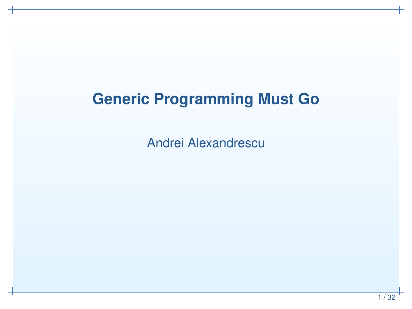#### **Generic Programming Must Go**

Andrei Alexandrescu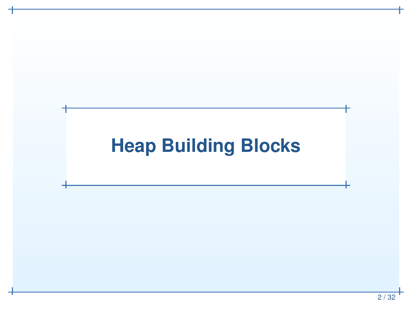### **Heap Building Blocks**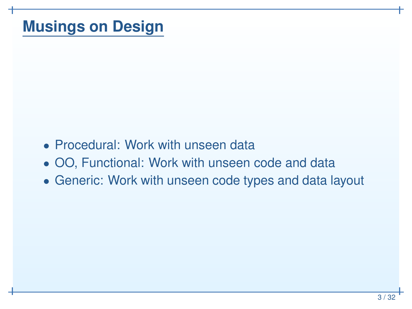#### **Musings on Design**

- Procedural: Work with unseen data
- OO, Functional: Work with unseen code and data
- Generic: Work with unseen code types and data layout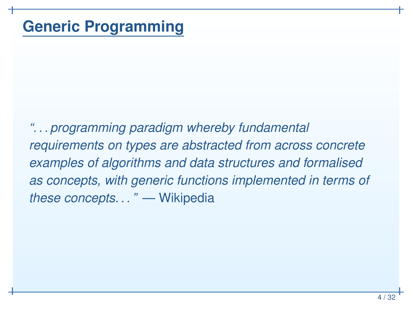*". . . programming paradigm whereby fundamental requirements on types are abstracted from across concreteexamples of algorithms and data structures and formalisedas concepts, with generic functions implemented in terms of these concepts. . . "* — Wikipedia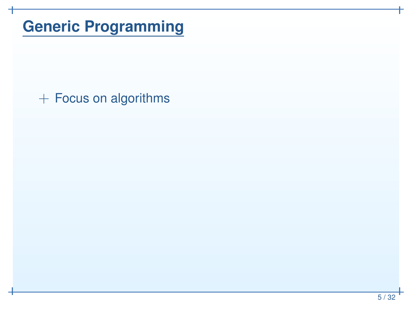$+$  Focus on algorithms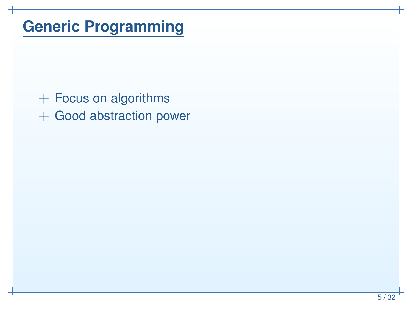+ Focus on algorithms + Good abstraction power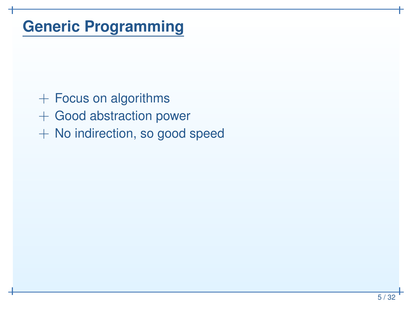- + Focus on algorithms
- + Good abstraction power
- + No indirection, so good speed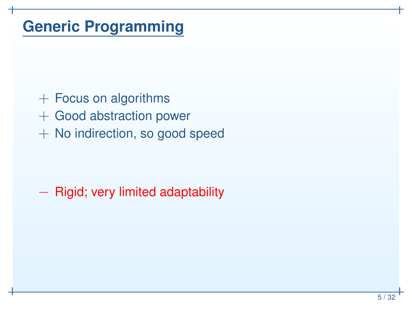- + Focus on algorithms
- + Good abstraction power
- + No indirection, so good speed

# - Rigid; very limited adaptability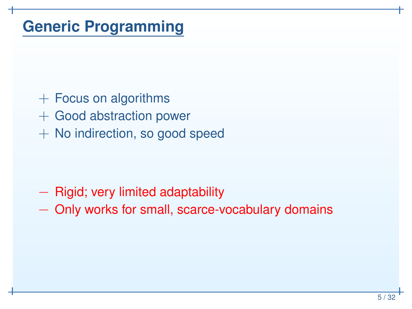- + Focus on algorithms
- + Good abstraction power
- + No indirection, so good speed

# - Rigid; very limited adaptability

−- Only works for small, scarce-vocabulary domains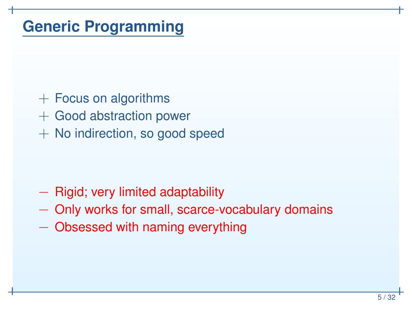- + Focus on algorithms
- + Good abstraction power
- + No indirection, so good speed

# - Rigid; very limited adaptability

- −- Only works for small, scarce-vocabulary domains
- −Obsessed with naming everything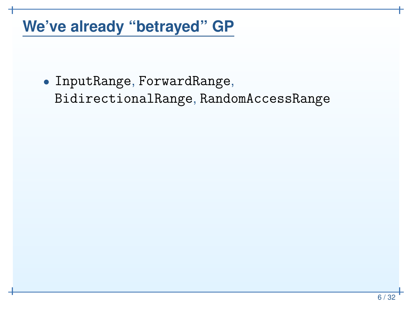#### **We've already "betrayed" GP**

• InputRange, ForwardRange, BidirectionalRange, RandomAccessRange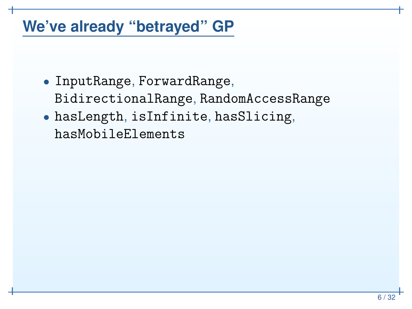#### **We've already "betrayed" GP**

- InputRange, ForwardRange, BidirectionalRange, RandomAccessRange
- hasLength, isInfinite, hasSlicing, hasMobileElements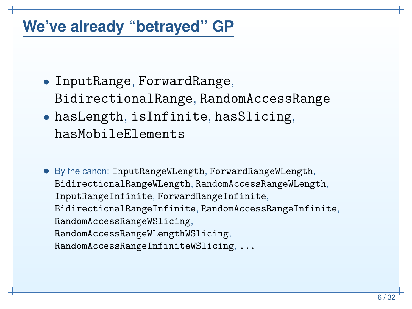#### **We've already "betrayed" GP**

- InputRange, ForwardRange, BidirectionalRange, RandomAccessRange
- hasLength, isInfinite, hasSlicing, hasMobileElements
- By the canon: InputRangeWLength, ForwardRangeWLength, BidirectionalRangeWLength, RandomAccessRangeWLength, InputRangeInfinite, ForwardRangeInfinite, BidirectionalRangeInfinite, RandomAccessRangeInfinite, RandomAccessRangeWSlicing,RandomAccessRangeWLengthWSlicing,RandomAccessRangeInfiniteWSlicing, ...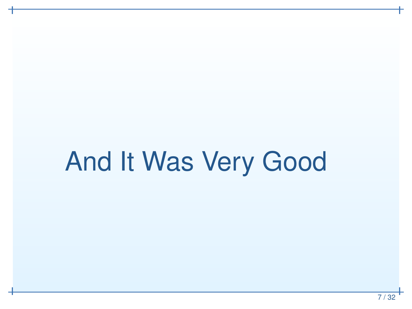# And It Was Very Good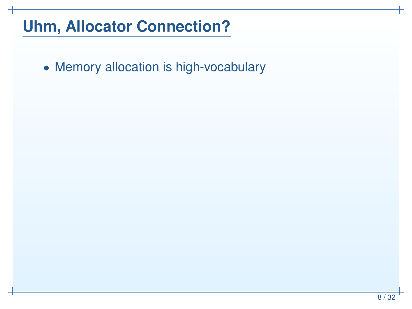• Memory allocation is high-vocabulary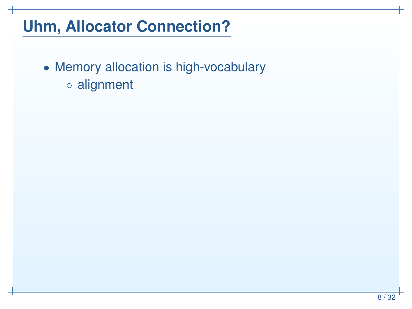• Memory allocation is high-vocabulary◦ alignment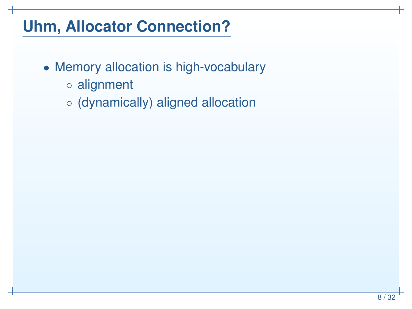- Memory allocation is high-vocabulary
	- alignment
	- (dynamically) aligned allocation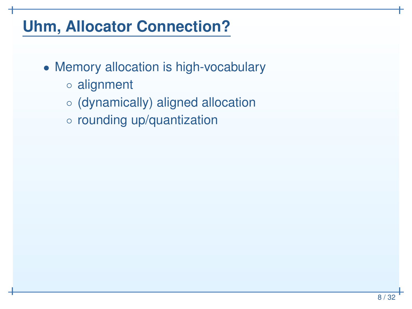- Memory allocation is high-vocabulary
	- alignment
	- (dynamically) aligned allocation
	- rounding up/quantization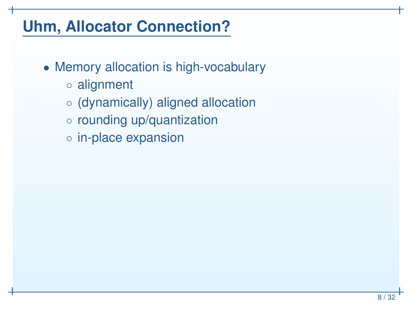- Memory allocation is high-vocabulary
	- alignment
	- (dynamically) aligned allocation
	- rounding up/quantization
	- in-place expansion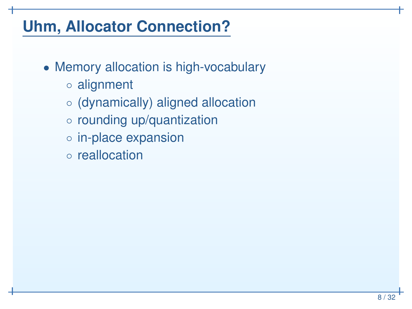- Memory allocation is high-vocabulary
	- alignment
	- (dynamically) aligned allocation
	- rounding up/quantization
	- in-place expansion
	- reallocation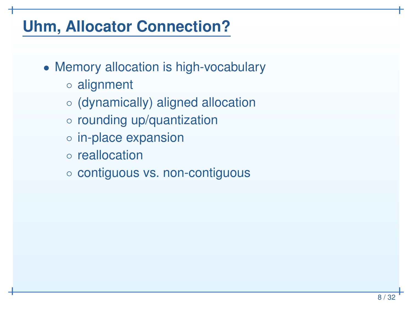- Memory allocation is high-vocabulary
	- alignment
	- (dynamically) aligned allocation
	- rounding up/quantization
	- in-place expansion
	- reallocation
	- contiguous vs. non-contiguous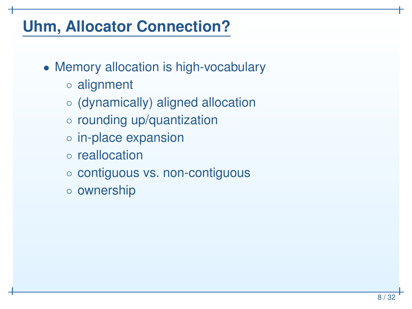- Memory allocation is high-vocabulary
	- alignment
	- (dynamically) aligned allocation
	- rounding up/quantization
	- in-place expansion
	- reallocation
	- contiguous vs. non-contiguous
	- ownership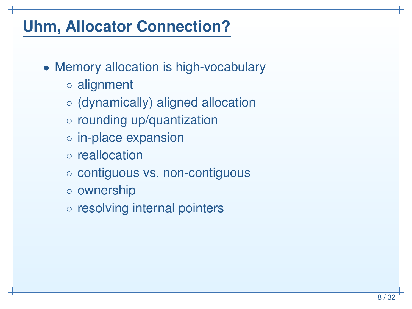- Memory allocation is high-vocabulary
	- alignment
	- (dynamically) aligned allocation
	- rounding up/quantization
	- in-place expansion
	- reallocation
	- contiguous vs. non-contiguous
	- ownership
	- resolving internal pointers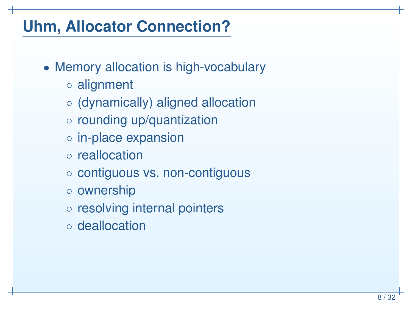- Memory allocation is high-vocabulary
	- alignment
	- (dynamically) aligned allocation
	- rounding up/quantization
	- in-place expansion
	- reallocation
	- contiguous vs. non-contiguous
	- ownership
	- resolving internal pointers
	- deallocation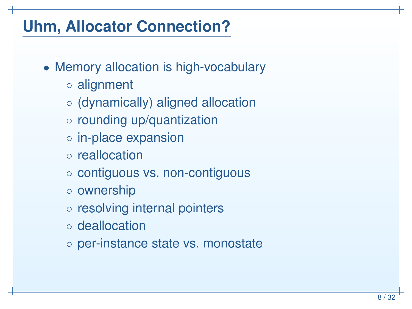- Memory allocation is high-vocabulary
	- alignment
	- (dynamically) aligned allocation
	- rounding up/quantization
	- in-place expansion
	- reallocation
	- contiguous vs. non-contiguous
	- ownership
	- resolving internal pointers
	- deallocation
	- per-instance state vs. monostate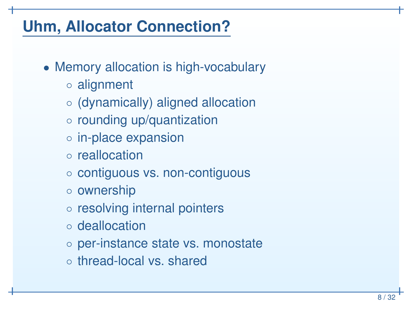- Memory allocation is high-vocabulary
	- alignment
	- (dynamically) aligned allocation
	- rounding up/quantization
	- in-place expansion
	- reallocation
	- contiguous vs. non-contiguous
	- ownership
	- resolving internal pointers
	- deallocation
	- per-instance state vs. monostate
	- thread-local vs. shared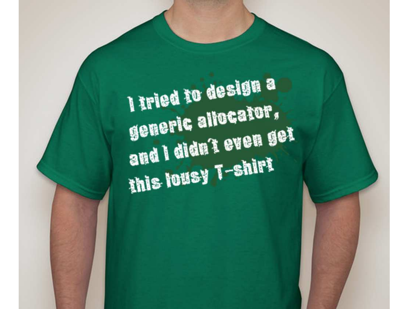I tried to design a generic allocator, and I didn't even get this lousy T-shirt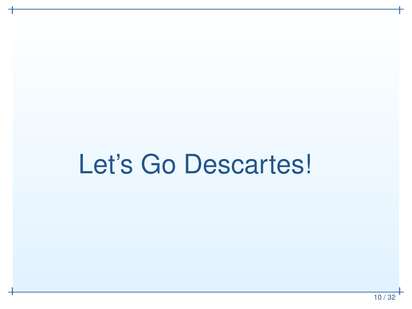# Let's Go Descartes!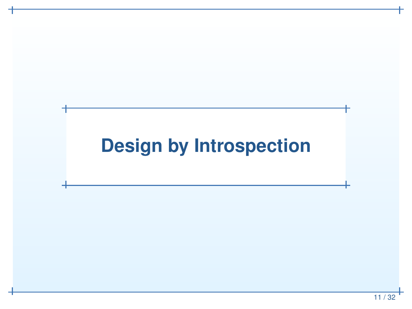### **Design by Introspection**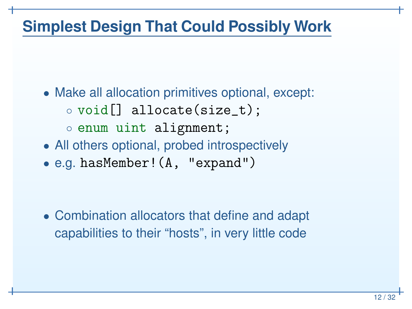#### **Simplest Design That Could Possibly Work**

- Make all allocation primitives optional, except: ◦ $\circ$  void[] allocate(size\_t); ◦ enum uint alignment;
- All others optional, probed introspectively $\bullet$ e.g. hasMember!(A, "expand")

• Combination allocators that define and adapt capabilities to their "hosts", in very little code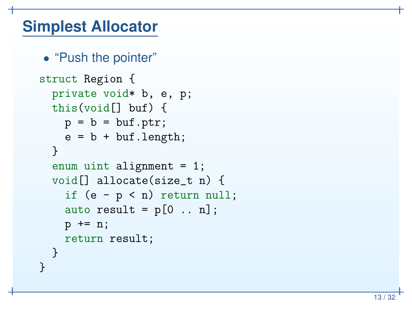#### **Simplest Allocator**

• "Push the pointer"

```
struct Region {
 private void* b, e, p;
  this(void[] buf) {
    p = b = but.ptr;
    e = b + but.length;}enum uint alignment = 1;
  void[] allocate(size_t n) {
    if (e - p < n) return null;
    auto result = p[0 \dots n];
    p += n;
    return result;
  }}
```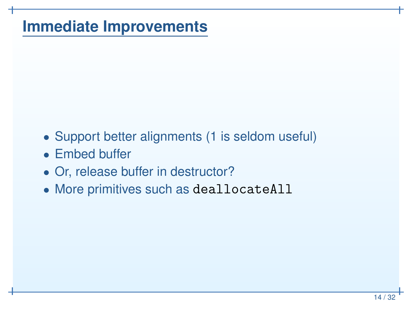#### **Immediate Improvements**

- Support better alignments (1 is seldom useful)
- Embed buffer
- Or, release buffer in destructor?
- More primitives such as deallocateAll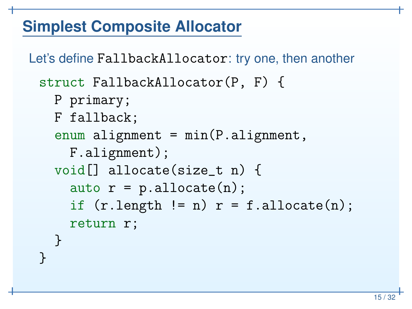#### **Simplest Composite Allocator**

```
Let's define FallbackAllocator: try one, then another
 struct FallbackAllocator(P, F) {
   P primary;
   F fallback;
    enum alignment = min(P.alignment,
      F.alignment);
void[] allocate(size_t n) {
      \texttt{auto}\ \ \texttt{r = p}.\texttt{alloc}(n)\ ;if (r.length != n) r = f.allocated(n);return r;
    }<br>}
 }<br>}
```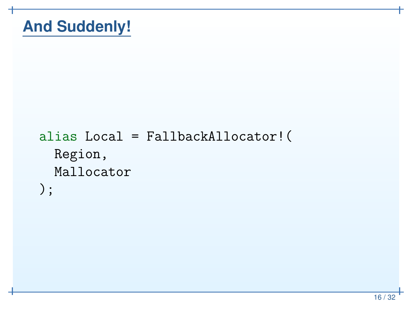#### **And Suddenly!**

```
alias Local = FallbackAllocator!(
 Region,
Mallocator);
```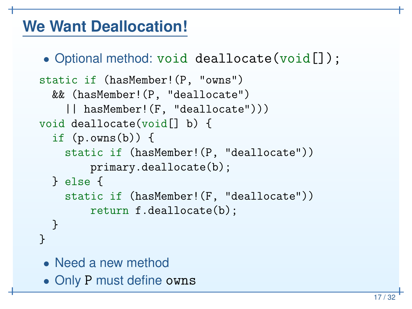#### **We Want Deallocation!**

```
• Optional method: void deallocate(void[]);
```

```
static if (hasMember!(P, "owns")
  && (hasMember!(P, "deallocate")
    || hasMember!(F, "deallocate")))
void deallocate(void[] b) {
  if (p.owns(b)) {
    static if (hasMember!(P, "deallocate"))
        primary.deallocate(b);} else
{
static if (hasMember!(F, "deallocate"))
        return f.deallocate(b);
  }}
```
- Need <sup>a</sup> new method
- Only P must define owns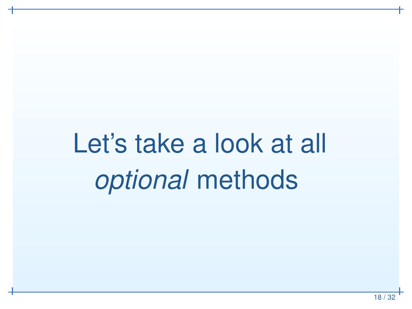# Let's take <sup>a</sup> look at all *optional* methods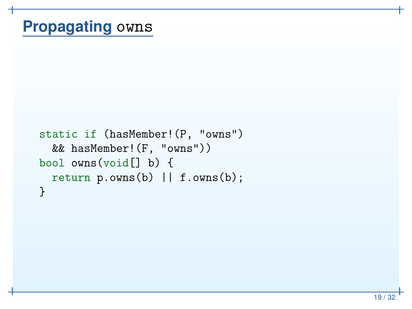## **Propagating** owns

```
static if (hasMember!(P, "owns")
  && hasMember!(F, "owns"))
bool owns(void[] b) {
  return p.owns(b) || f.owns(b);
}
```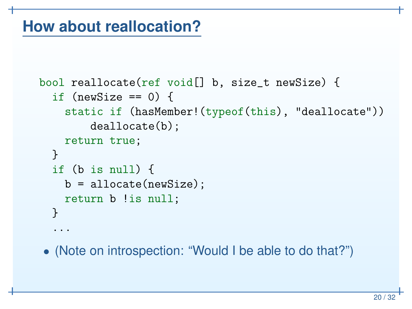#### **How about reallocation?**

```
bool reallocate(ref void[] b, size_t newSize) {
  if (newSize == 0) {
    static if (hasMember!(typeof
(this), "deallocate"))
        deallocate(b);return true;
 }
if (b is null) {
   b = allocate(newSize);
    return b !is null;
 }...
```
• (Note on introspection: "Would <sup>I</sup> be able to do that?")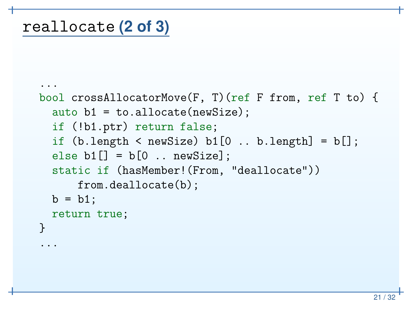...

```
...
bool crossAllocatorMove(F, T)(ref F from, ref T to) {
  auto b1 = to.allocate(newSize);
  if (!b1.ptr) return false;
  if (b.length < newSize) b1[0 .. b.length] = b[];
  \mathtt{else}\ \mathtt{b1}[\,]\ =\ \mathtt{b}[\,0\ \ldots\ \mathtt{newSize}]\ ;static if (hasMember!(From, "deallocate"))
       from.deallocate(b);b = b1;
  return true;
}
```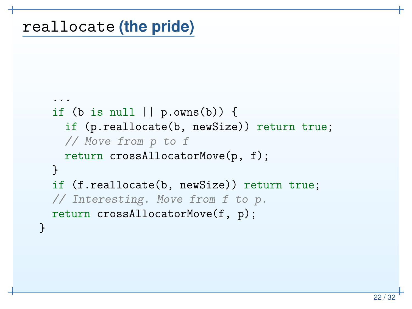## reallocate **(the pride)**

```
...
if (b is null || p.owns(b)) {
    if (p.reallocate(b, newSize)) return true;
    // Move from p to f
    return crossAllocatorMove(p, f);
  }
if (f.reallocate(b, newSize)) return true;
  // Interesting. Move from f to p.
  return crossAllocatorMove(f, p);
}
```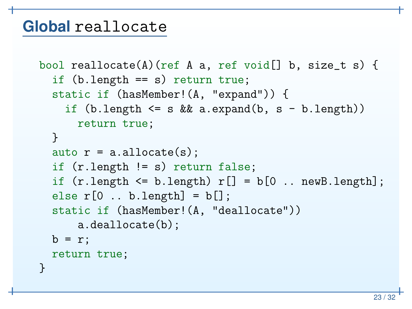#### **Global** reallocate

```
bool reallocate(A)(ref A a, ref void[] b, size_t s) {
  if (b.length == s) return true;
  static if (hasMember!(A, "expand")) {
    if (b.length <= s && a.expand(b, s - b.length))
      return true;
  }auto r = a.allocate(s);
  if (r.length != s) return false;
  if (r.length \leq b.length) r[] = b[0 ... newB.length];else r[0 .. b.length] = b[];
  static if (hasMember!(A, "deallocate"))
      a.deallocate(b);b = r;return true;
\mathcal{F}
```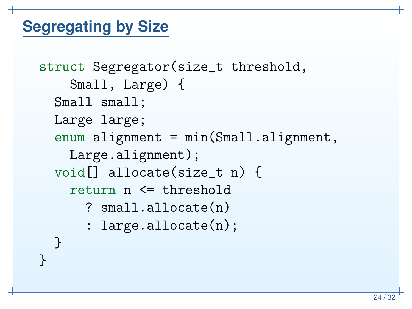#### **Segregating by Size**

```
struct Segregator(size_t threshold,
    Small, Large) {
 Small small;
 Large large;
  enum alignment = min(Small.alignment,
    Large.alignment);
void[] allocate(size_t n) {
    return n <= threshold
      ? small.allocate(n)
      : large.allocate(n);
  }<br>}
}<br>}
```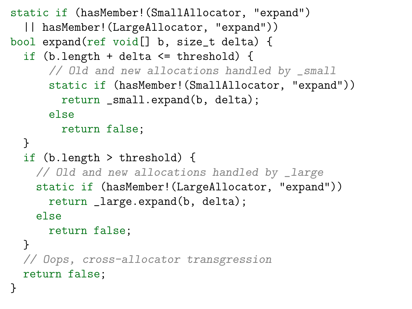```
static if (hasMember!(SmallAllocator, "expand")
  || hasMember!(LargeAllocator, "expand"))
bool expand(ref void[] b, size_t delta) {
  if (b.length + delta <= threshold) {
      // Old and new allocations handled by _small
      static if (hasMember!(SmallAllocator, "expand"))
        return _small.expand(b, delta);
      elsereturn false;
  }
if (b.length > threshold) {
    // Old and new allocations handled by _large
    static if (hasMember!(LargeAllocator, "expand"))
      return _large.expand(b, delta);
    else
return false;}
// Oops, cross-allocator transgression
  return false;
}
```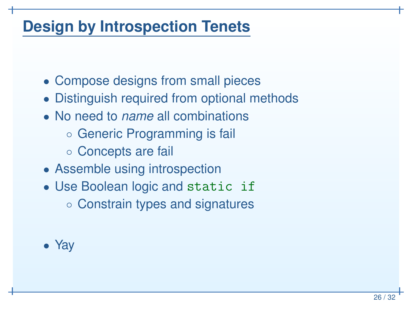#### **Design by Introspection Tenets**

- Compose designs from small pieces
- Distinguish required from optional methods
- No need to *name* all combinations
	- Generic Programming is fail
	- Concepts are fail
- Assemble using introspection
- Use Boolean logic and static if ◦ Constrain types and signatures

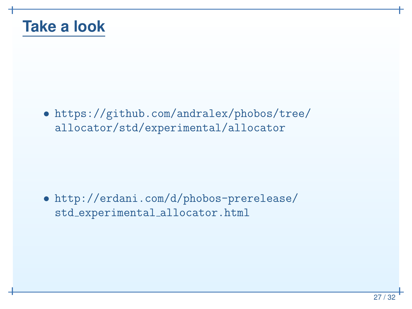

• https://github.com/andralex/phobos/tree/allocator/std/experimental/allocator

• http://erdani.com/d/phobos-prerelease/std experimental allocator.html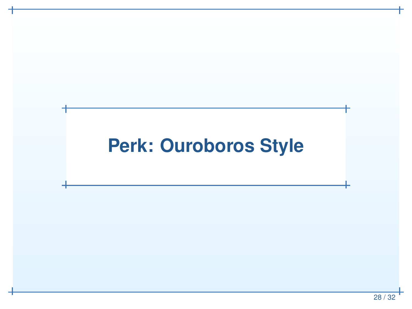### **Perk: Ouroboros Style**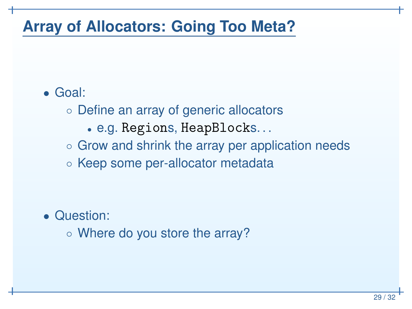#### **Array of Allocators: Going Too Meta?**

#### • Goal:

- Define an array of generic allocators
	- •e.g. Regions, HeapBlocks. . .
- Grow and shrink the array per application needs
- Keep some per-allocator metadata

- Question:
	- Where do you store the array?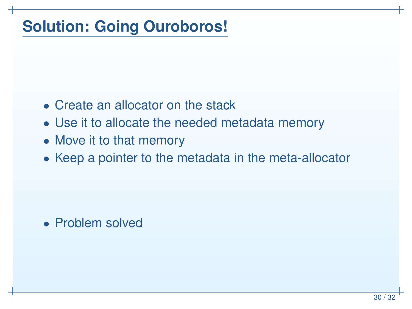#### **Solution: Going Ouroboros!**

- Create an allocator on the stack
- Use it to allocate the needed metadata memory
- Move it to that memory
- Keep <sup>a</sup> pointer to the metadata in the meta-allocator

• Problem solved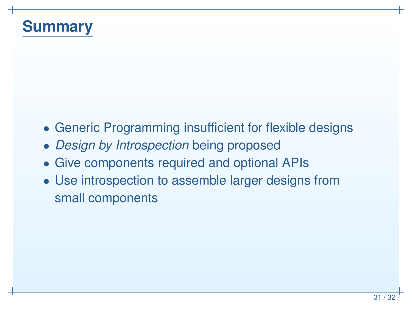#### **Summary**

- Generic Programming insufficient for flexible designs
- *Design by Introspection* being proposed
- Give components required and optional APIs
- Use introspection to assemble larger designs fromsmall components